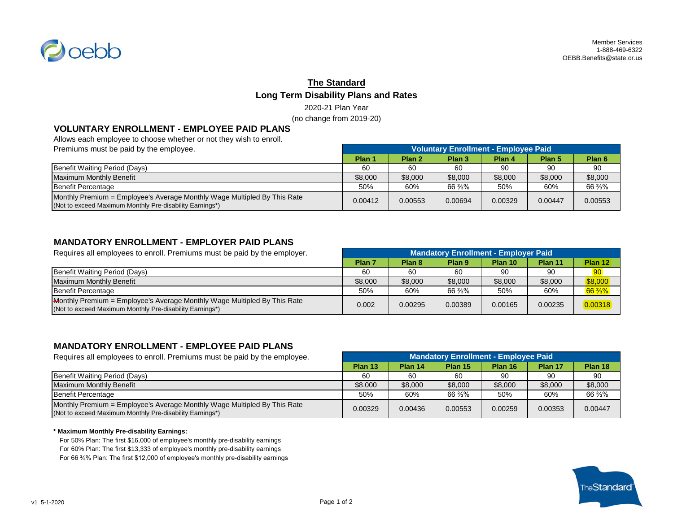

# **The Standard Long Term Disability Plans and Rates** 2020-21 Plan Year

(no change from 2019-20)

## **VOLUNTARY ENROLLMENT - EMPLOYEE PAID PLANS**

Allows each employee to choose whether or not they wish to enroll.

| Premiums must be paid by the employee.                                                                                               | <b>Voluntary Enrollment - Employee Paid</b> |                   |                   |         |                   |                   |
|--------------------------------------------------------------------------------------------------------------------------------------|---------------------------------------------|-------------------|-------------------|---------|-------------------|-------------------|
|                                                                                                                                      | Plan 1                                      | Plan <sub>2</sub> | Plan <sub>3</sub> | Plan 4  | Plan <sub>5</sub> | Plan <sub>6</sub> |
| Benefit Waiting Period (Days)                                                                                                        | 60                                          | 60                | 60                | 90      | 90                | 90                |
| Maximum Monthly Benefit                                                                                                              | \$8,000                                     | \$8,000           | \$8,000           | \$8,000 | \$8,000           | \$8,000           |
| Benefit Percentage                                                                                                                   | 50%                                         | 60%               | 66 %%             | 50%     | 60%               | 66 %%             |
| Monthly Premium = Employee's Average Monthly Wage Multipled By This Rate<br>(Not to exceed Maximum Monthly Pre-disability Earnings*) | 0.00412                                     | 0.00553           | 0.00694           | 0.00329 | 0.00447           | 0.00553           |

## **MANDATORY ENROLLMENT - EMPLOYER PAID PLANS**

Requires all employees to enroll. Premiums must be paid by the employer. **Plan 7 Plan 8 Plan 9 Plan 10 Plan 11 Plan 12** Benefit Waiting Period (Days) 60 60 60 90 90 90 Maximum Monthly Benefit **1990 and 1990 and 1990 and 1990 and 1990 and 1990 and 1990 and 1990 and 1990 and 1990** \$8,000 \$8,000 \$8,000 \$8,000 \$8,000 \$8,000 \$8,000 \$8,000 \$8,000 \$8,000 \$8,000 \$8,000 \$8,000 \$8,000 \$8,000 \$8,00 Benefit Percentage 50% 60% 66 ⅔% 50% 60% 66 ⅔% Monthly Premium = Employee's Average Monthly Wage Multipled By This Rate world.ily Premium = Employee's Average Montrily Wage Multipled by This Rate<br>(Not to exceed Maximum Monthly Pre-disability Earnings\*) **0.002** 0.002 0.00295 0.00295 0.00389 0.00165 0.00235 0.00235 **Mandatory Enrollment - Employer Paid**

### **MANDATORY ENROLLMENT - EMPLOYEE PAID PLANS**

| Requires all employees to enroll. Premiums must be paid by the employee.                                                             | <b>Mandatory Enrollment - Employee Paid</b> |         |         |         |         |         |
|--------------------------------------------------------------------------------------------------------------------------------------|---------------------------------------------|---------|---------|---------|---------|---------|
|                                                                                                                                      | Plan 13                                     | Plan 14 | Plan 15 | Plan 16 | Plan 17 | Plan 18 |
| Benefit Waiting Period (Days)                                                                                                        | 60                                          | 60      | 60      | 90      | 90      | 90      |
| Maximum Monthly Benefit                                                                                                              | \$8,000                                     | \$8,000 | \$8,000 | \$8,000 | \$8,000 | \$8,000 |
| Benefit Percentage                                                                                                                   | 50%                                         | 60%     | 66 %%   | 50%     | 60%     | 66 %%   |
| Monthly Premium = Employee's Average Monthly Wage Multipled By This Rate<br>(Not to exceed Maximum Monthly Pre-disability Earnings*) | 0.00329                                     | 0.00436 | 0.00553 | 0.00259 | 0.00353 | 0.00447 |

#### **\* Maximum Monthly Pre-disability Earnings:**

For 50% Plan: The first \$16,000 of employee's monthly pre-disability earnings For 60% Plan: The first \$13,333 of employee's monthly pre-disability earnings For 66 ⅔% Plan: The first \$12,000 of employee's monthly pre-disability earnings